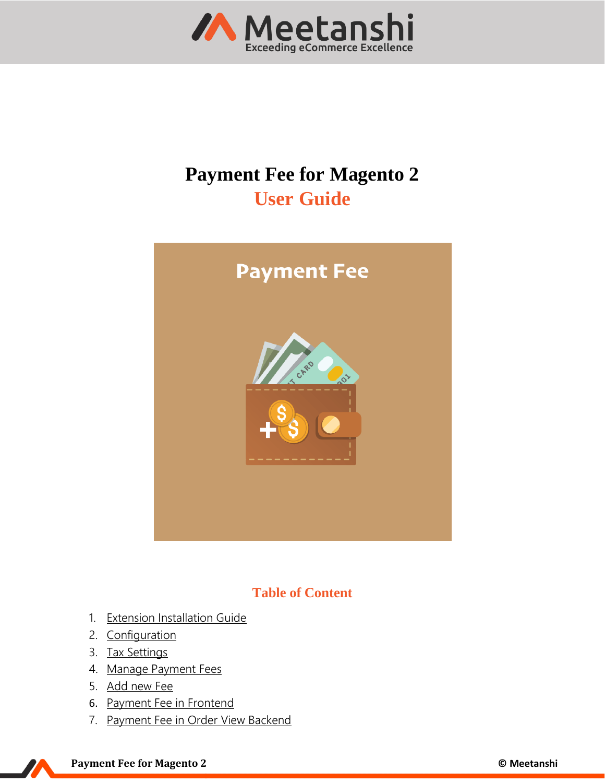

# **Payment Fee for Magento 2 User Guide**



# **Table of Content**

- 1. [Extension Installation Guide](#page-1-0)
- 2. [Configuration](#page-1-1)
- 3. [Tax Settings](#page-1-2)
- 4. [Manage Payment Fees](#page-3-0)
- 5. [Add new Fee](#page-3-1)
- 6. [Payment Fee in Frontend](#page-5-0)
- 7. [Payment Fee in Order View Backend](#page-7-0)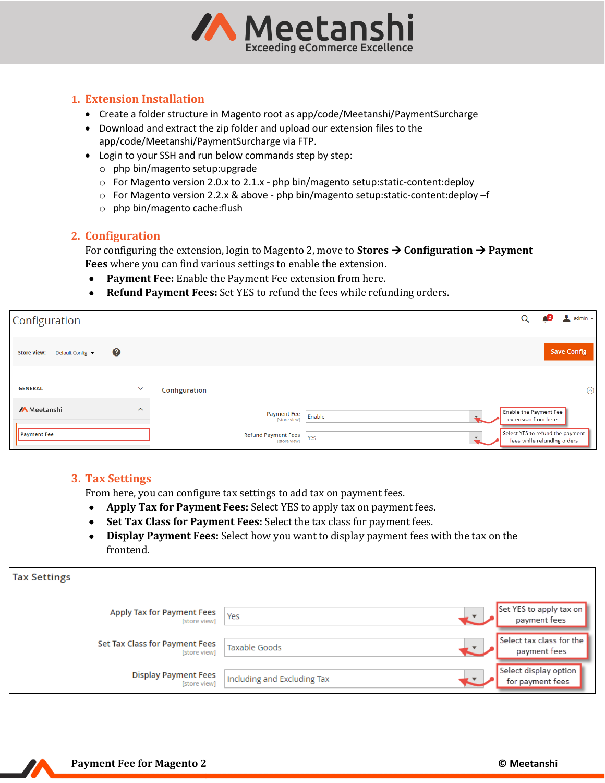

#### <span id="page-1-0"></span>**1. Extension Installation**

- Create a folder structure in Magento root as app/code/Meetanshi/PaymentSurcharge
- Download and extract the zip folder and upload our extension files to the app/code/Meetanshi/PaymentSurcharge via FTP.
- Login to your SSH and run below commands step by step:
	- o php bin/magento setup:upgrade
	- $\circ$  For Magento version 2.0.x to 2.1.x php bin/magento setup: static-content: deploy
	- o For Magento version 2.2.x & above php bin/magento setup:static-content:deploy –f
	- o php bin/magento cache:flush

#### <span id="page-1-1"></span>**2. Configuration**

For configuring the extension, login to Magento 2, move to **Stores** → **Configuration** → **Payment Fees** where you can find various settings to enable the extension.

- **Payment Fee:** Enable the Payment Fee extension from here.
- **Refund Payment Fees:** Set YES to refund the fees while refunding orders.

| Configuration                          |                         |                                            |        |                                                                 | admin $\blacktriangledown$ |
|----------------------------------------|-------------------------|--------------------------------------------|--------|-----------------------------------------------------------------|----------------------------|
| Default Config v<br><b>Store View:</b> | 3                       |                                            |        |                                                                 | <b>Save Config</b>         |
|                                        |                         |                                            |        |                                                                 |                            |
| <b>GENERAL</b>                         | $\checkmark$            | Configuration                              |        |                                                                 | $\odot$                    |
| <b>/A</b> Meetanshi                    | $\widehat{\phantom{a}}$ | <b>Payment Fee</b><br>[store view]         | Enable | Enable the Payment Fee<br>extension from here                   |                            |
| Payment Fee                            |                         | <b>Refund Payment Fees</b><br>[store view] | Yes    | Select YES to refund the payment<br>fees while refunding orders |                            |

#### <span id="page-1-2"></span>**3. Tax Settings**

From here, you can configure tax settings to add tax on payment fees.

- **Apply Tax for Payment Fees:** Select YES to apply tax on payment fees.
- **Set Tax Class for Payment Fees:** Select the tax class for payment fees.
- **Display Payment Fees:** Select how you want to display payment fees with the tax on the frontend.

| <b>Tax Settings</b>                            |                             |                                           |
|------------------------------------------------|-----------------------------|-------------------------------------------|
| Apply Tax for Payment Fees<br>[store view]     | Yes                         | Set YES to apply tax on<br>payment fees   |
| Set Tax Class for Payment Fees<br>[store view] | Taxable Goods               | Select tax class for the<br>payment fees  |
| <b>Display Payment Fees</b><br>[store view]    | Including and Excluding Tax | Select display option<br>for payment fees |

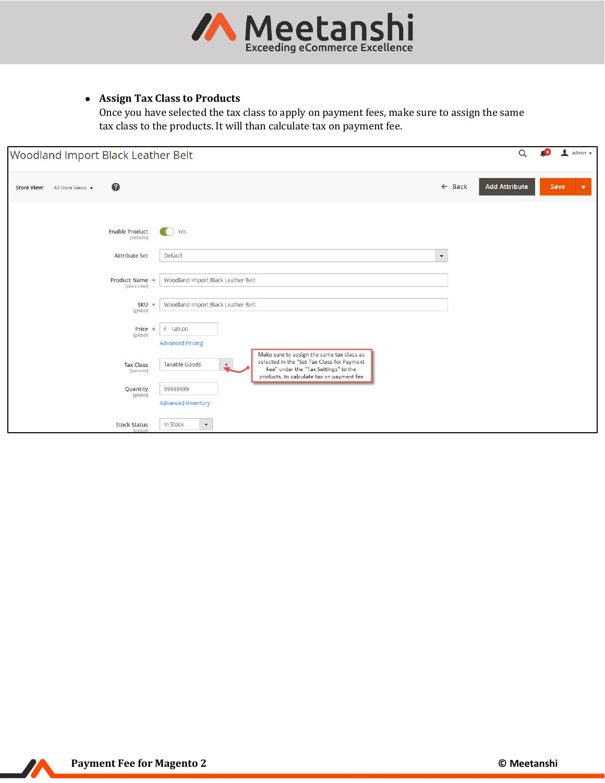

# • **Assign Tax Class to Products**

Once you have selected the tax class to apply on payment fees, make sure to assign the same tax class to the products. It will than calculate tax on payment fee.

| Woodland Import Black Leather Belt      |                                        |                                                                                                                                                                                                           |                   | $\alpha$             | admin $\star$<br><b>CG</b>   |
|-----------------------------------------|----------------------------------------|-----------------------------------------------------------------------------------------------------------------------------------------------------------------------------------------------------------|-------------------|----------------------|------------------------------|
| <b>Store View:</b><br>All Store Views v | 3                                      |                                                                                                                                                                                                           | $\leftarrow$ Back | <b>Add Attribute</b> | Save<br>$\blacktriangledown$ |
|                                         | <b>Enable Product</b><br>[website]     | Yes<br>a control                                                                                                                                                                                          |                   |                      |                              |
|                                         | <b>Attribute Set</b>                   | Default<br>$\blacktriangledown$                                                                                                                                                                           |                   |                      |                              |
|                                         | Product Name *<br>[store view]         | Woodland Import Black Leather Belt                                                                                                                                                                        |                   |                      |                              |
|                                         | <b>SKU</b><br>$\star$<br>[global]      | Woodland Import Black Leather Belt                                                                                                                                                                        |                   |                      |                              |
|                                         | Price<br>$\star$<br>[global]           | £ 149.00<br><b>Advanced Pricing</b>                                                                                                                                                                       |                   |                      |                              |
|                                         | <b>Tax Class</b><br>[website]          | Make sure to assign the same tax class as<br>selected in the "Set Tax Class for Payment<br><b>Taxable Goods</b><br>ᅩ<br>Fee" under the "Tax Settings" to the<br>products, to calculate tax on payment fee |                   |                      |                              |
|                                         | Quantity<br>[global]                   | 99999999                                                                                                                                                                                                  |                   |                      |                              |
|                                         |                                        | Advanced Inventory                                                                                                                                                                                        |                   |                      |                              |
|                                         | <b>Stock Status</b><br><b>rgloball</b> | $\bar{\mathbf{v}}$<br>In Stock                                                                                                                                                                            |                   |                      |                              |

77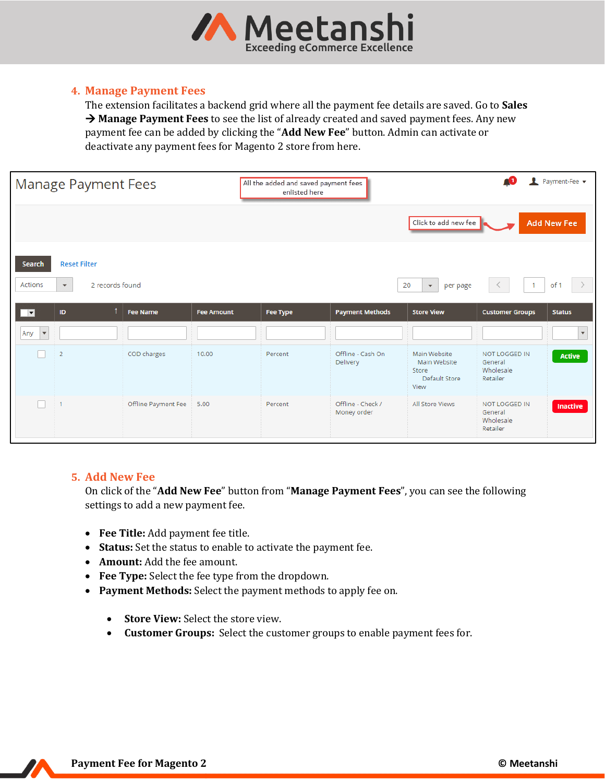

#### <span id="page-3-0"></span>**4. Manage Payment Fees**

The extension facilitates a backend grid where all the payment fee details are saved. Go to **Sales**  → **Manage Payment Fees** to see the list of already created and saved payment fees. Any new payment fee can be added by clicking the "**Add New Fee**" button. Admin can activate or deactivate any payment fees for Magento 2 store from here.

| <b>Manage Payment Fees</b>  |                                                                     |                     |                   | All the added and saved payment fees<br>enlisted here |                                  |                                                                |                                                   | Payment-Fee v           |
|-----------------------------|---------------------------------------------------------------------|---------------------|-------------------|-------------------------------------------------------|----------------------------------|----------------------------------------------------------------|---------------------------------------------------|-------------------------|
|                             | Click to add new fee                                                |                     |                   |                                                       |                                  |                                                                |                                                   |                         |
| <b>Search</b><br>Actions    | <b>Reset Filter</b><br>2 records found<br>$\boldsymbol{\mathrm{v}}$ |                     |                   |                                                       |                                  | 20<br>per page<br>$\boldsymbol{\mathrm{v}}$                    | $\mathbf{1}$                                      | of 1                    |
| $\overline{\phantom{a}}$    | $\mathsf{ID}$                                                       | <b>Fee Name</b>     | <b>Fee Amount</b> | <b>Fee Type</b>                                       | <b>Payment Methods</b>           | <b>Store View</b>                                              | <b>Customer Groups</b>                            | <b>Status</b>           |
| Any<br>$\blacktriangledown$ |                                                                     |                     |                   |                                                       |                                  |                                                                |                                                   | $\overline{\mathbf{v}}$ |
|                             | $\overline{2}$                                                      | COD charges         | 10.00             | Percent                                               | Offline - Cash On<br>Delivery    | Main Website<br>Main Website<br>Store<br>Default Store<br>View | NOT LOGGED IN<br>General<br>Wholesale<br>Retailer | <b>Active</b>           |
|                             | 1                                                                   | Offline Payment Fee | 5.00              | Percent                                               | Offline - Check /<br>Money order | All Store Views                                                | NOT LOGGED IN<br>General<br>Wholesale<br>Retailer | <b>Inactive</b>         |

#### <span id="page-3-1"></span>**5. Add New Fee**

On click of the "**Add New Fee**" button from "**Manage Payment Fees**", you can see the following settings to add a new payment fee.

- **Fee Title:** Add payment fee title.
- **Status:** Set the status to enable to activate the payment fee.
- **Amount:** Add the fee amount.
- **Fee Type:** Select the fee type from the dropdown.
- **Payment Methods:** Select the payment methods to apply fee on.
	- **Store View:** Select the store view.
	- **Customer Groups:** Select the customer groups to enable payment fees for.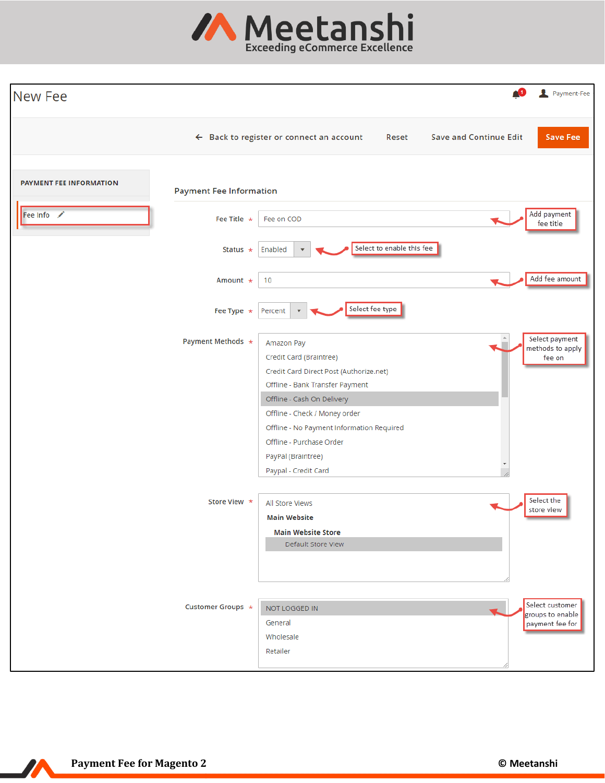

| New Fee                        |                                |                                                                                                                                                                                                                                                                                                           | 41                            | Payment-Fee                                            |
|--------------------------------|--------------------------------|-----------------------------------------------------------------------------------------------------------------------------------------------------------------------------------------------------------------------------------------------------------------------------------------------------------|-------------------------------|--------------------------------------------------------|
|                                |                                | $\leftarrow$ Back to register or connect an account<br>Reset                                                                                                                                                                                                                                              | <b>Save and Continue Edit</b> | <b>Save Fee</b>                                        |
| <b>PAYMENT FEE INFORMATION</b> | <b>Payment Fee Information</b> |                                                                                                                                                                                                                                                                                                           |                               |                                                        |
| Fee Info                       | Fee Title $\star$              | Fee on COD                                                                                                                                                                                                                                                                                                |                               | Add payment<br>fee title                               |
|                                | Status $\star$                 | Select to enable this fee<br>Enabled                                                                                                                                                                                                                                                                      |                               |                                                        |
|                                | Amount *                       | 10                                                                                                                                                                                                                                                                                                        |                               | Add fee amount                                         |
|                                | Fee Type $*$                   | Select fee type<br>Percent<br>$\boldsymbol{\mathrm{v}}$                                                                                                                                                                                                                                                   |                               |                                                        |
|                                | Payment Methods *              | Amazon Pay<br>Credit Card (Braintree)<br>Credit Card Direct Post (Authorize.net)<br>Offline - Bank Transfer Payment<br>Offline - Cash On Delivery<br>Offline - Check / Money order<br>Offline - No Payment Information Required<br>Offline - Purchase Order<br>PayPal (Braintree)<br>Paypal - Credit Card |                               | Select payment<br>methods to apply<br>fee on           |
|                                | Store View *                   | All Store Views<br><b>Main Website</b><br><b>Main Website Store</b><br>Default Store View                                                                                                                                                                                                                 |                               | Select the<br>store view                               |
|                                | Customer Groups *              | NOT LOGGED IN<br>General<br>Wholesale<br>Retailer                                                                                                                                                                                                                                                         |                               | Select customer<br>groups to enable<br>payment fee for |

 $\boldsymbol{N}$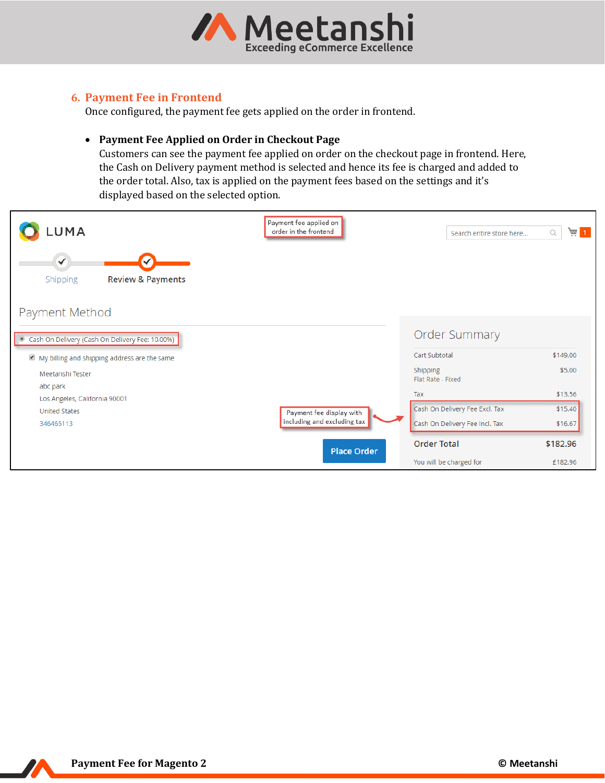

# <span id="page-5-0"></span>**6. Payment Fee in Frontend**

Once configured, the payment fee gets applied on the order in frontend.

#### • **Payment Fee Applied on Order in Checkout Page**

Customers can see the payment fee applied on order on the checkout page in frontend. Here, the Cash on Delivery payment method is selected and hence its fee is charged and added to the order total. Also, tax is applied on the payment fees based on the settings and it's displayed based on the selected option.

| LUMA                                                     | Payment fee applied on<br>order in the frontend | Search entire store here       | $\frac{1}{2}$ 1<br>Q |
|----------------------------------------------------------|-------------------------------------------------|--------------------------------|----------------------|
| $\checkmark$<br><b>Review &amp; Payments</b><br>Shipping |                                                 |                                |                      |
| Payment Method                                           |                                                 |                                |                      |
| Cash On Delivery (Cash On Delivery Fee: 10.00%)          |                                                 | <b>Order Summary</b>           |                      |
| My billing and shipping address are the same             |                                                 | Cart Subtotal                  | \$149.00             |
| Meetanshi Tester                                         |                                                 | Shipping<br>Flat Rate - Fixed  | \$5.00               |
| abc park<br>Los Angeles, California 90001                |                                                 | Tax                            | \$13.56              |
| <b>United States</b>                                     | Payment fee display with                        | Cash On Delivery Fee Excl. Tax | \$15.40              |
| 346465113                                                | including and excluding tax                     | Cash On Delivery Fee Incl. Tax | \$16.67              |
|                                                          | <b>Place Order</b>                              | <b>Order Total</b>             | \$182.96             |
|                                                          |                                                 | You will be charged for        | £182.96              |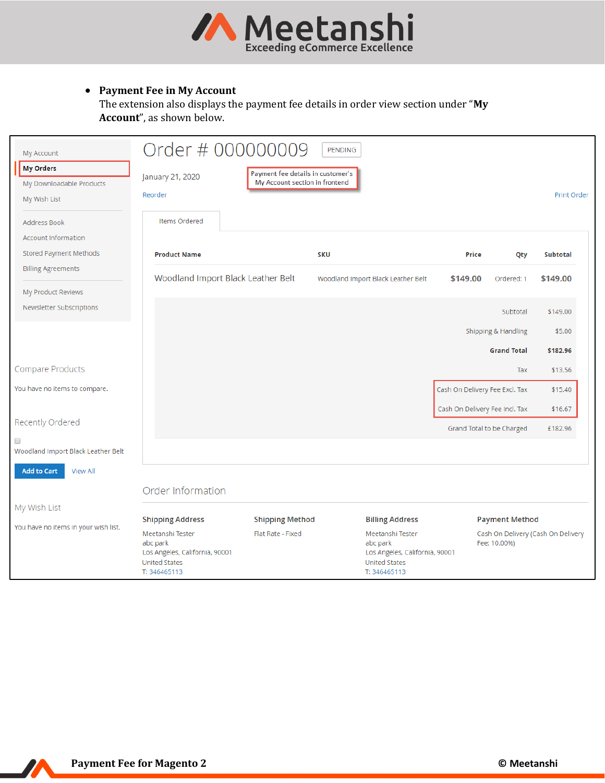

# • **Payment Fee in My Account**

The extension also displays the payment fee details in order view section under "**My Account**", as shown below.

| <b>My Account</b>                                            |                                                                                                        | Order # 000000009                                                   | <b>PENDING</b>                                                                                         |                                |                           |                                    |
|--------------------------------------------------------------|--------------------------------------------------------------------------------------------------------|---------------------------------------------------------------------|--------------------------------------------------------------------------------------------------------|--------------------------------|---------------------------|------------------------------------|
| <b>My Orders</b><br>My Downloadable Products<br>My Wish List | January 21, 2020<br>Reorder                                                                            | Payment fee details in customer's<br>My Account section in frontend |                                                                                                        |                                |                           | Print Order                        |
| <b>Address Book</b>                                          | Items Ordered                                                                                          |                                                                     |                                                                                                        |                                |                           |                                    |
| <b>Account Information</b>                                   |                                                                                                        |                                                                     |                                                                                                        |                                |                           |                                    |
| Stored Payment Methods                                       | <b>Product Name</b>                                                                                    |                                                                     | <b>SKU</b>                                                                                             | <b>Price</b>                   | Qty                       | Subtotal                           |
| <b>Billing Agreements</b>                                    | Woodland Import Black Leather Belt                                                                     |                                                                     | Woodland Import Black Leather Belt                                                                     | \$149.00                       | Ordered: 1                | \$149.00                           |
| My Product Reviews                                           |                                                                                                        |                                                                     |                                                                                                        |                                |                           |                                    |
| Newsletter Subscriptions                                     |                                                                                                        |                                                                     |                                                                                                        |                                | Subtotal                  | \$149.00                           |
|                                                              |                                                                                                        |                                                                     |                                                                                                        |                                | Shipping & Handling       | \$5.00                             |
|                                                              |                                                                                                        |                                                                     |                                                                                                        |                                | <b>Grand Total</b>        | \$182.96                           |
| Compare Products                                             |                                                                                                        |                                                                     |                                                                                                        |                                | Tax                       | \$13.56                            |
| You have no items to compare.                                |                                                                                                        |                                                                     |                                                                                                        | Cash On Delivery Fee Excl. Tax |                           | \$15.40                            |
|                                                              |                                                                                                        |                                                                     |                                                                                                        | Cash On Delivery Fee Incl. Tax |                           | \$16.67                            |
| Recently Ordered                                             |                                                                                                        |                                                                     |                                                                                                        |                                | Grand Total to be Charged | £182.96                            |
| $\Box$<br>Woodland Import Black Leather Belt                 |                                                                                                        |                                                                     |                                                                                                        |                                |                           |                                    |
| <b>Add to Cart</b><br><b>View All</b>                        |                                                                                                        |                                                                     |                                                                                                        |                                |                           |                                    |
|                                                              | Order Information                                                                                      |                                                                     |                                                                                                        |                                |                           |                                    |
| My Wish List                                                 |                                                                                                        |                                                                     |                                                                                                        |                                |                           |                                    |
|                                                              | <b>Shipping Address</b>                                                                                | <b>Shipping Method</b>                                              | <b>Billing Address</b>                                                                                 |                                | <b>Payment Method</b>     |                                    |
| You have no items in your wish list.                         | Meetanshi Tester<br>abc park<br>Los Angeles, California, 90001<br><b>United States</b><br>T: 346465113 | Flat Rate - Fixed                                                   | Meetanshi Tester<br>abc park<br>Los Angeles, California, 90001<br><b>United States</b><br>T: 346465113 |                                | Fee: 10.00%)              | Cash On Delivery (Cash On Delivery |

77